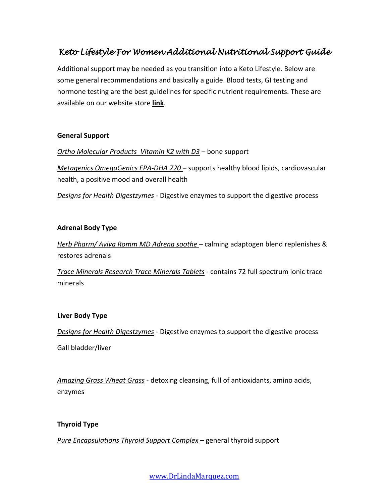# *Keto Lifestyle For Women Additional Nutritional Support Guide*

Additional support may be needed as you transition into a Keto Lifestyle. Below are some general recommendations and basically a guide. Blood tests, GI testing and hormone testing are the best guidelines for specific nutrient requirements. These are available on our website store **[link](https://www.drlindamarquez.com/shop)**.

### **General Support**

*Ortho Molecular Products Vitamin K2 with D3* – bone support

*Metagenics OmegaGenics EPA-DHA 720* – supports healthy blood lipids, cardiovascular health, a positive mood and overall health

*Designs for Health Digestzymes* - Digestive enzymes to support the digestive process

#### **Adrenal Body Type**

*Herb Pharm/ Aviva Romm MD Adrena soothe* – calming adaptogen blend replenishes & restores adrenals

*Trace Minerals Research Trace Minerals Tablets* - contains 72 full spectrum ionic trace minerals

#### **Liver Body Type**

*Designs for Health Digestzymes* - Digestive enzymes to support the digestive process

Gall bladder/liver

*Amazing Grass Wheat Grass* - detoxing cleansing, full of antioxidants, amino acids, enzymes

## **Thyroid Type**

*Pure Encapsulations Thyroid Support Complex* – general thyroid support